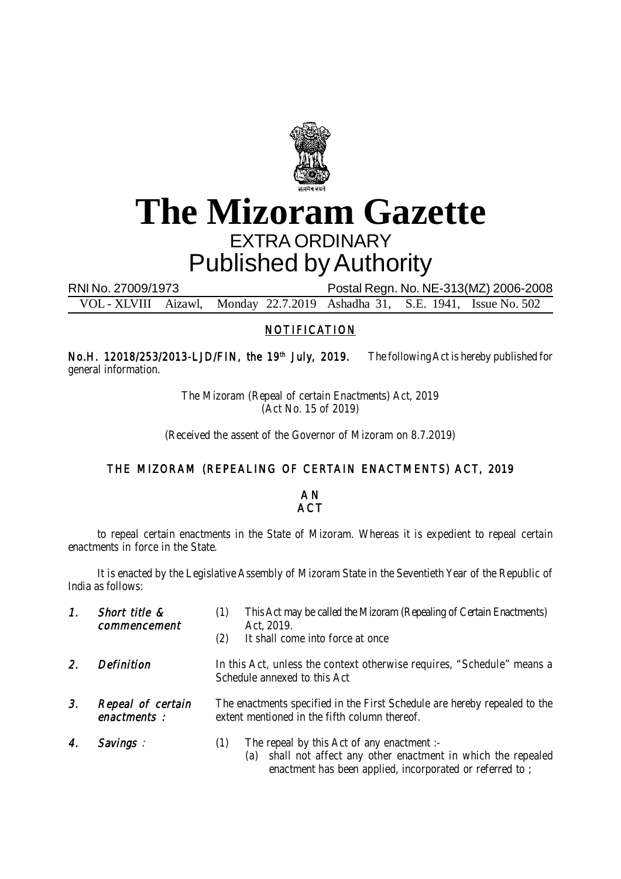

## **The Mizoram Gazette** EXTRA ORDINARY Published by Authority

RNI No. 27009/1973 Postal Regn. No. NE-313(MZ) 2006-2008

VOL - XLVIII Aizawl, Monday 22.7.2019 Ashadha 31, S.E. 1941, Issue No. 502

## NOTIFICATION

No.H. 12018/253/2013-LJD/FIN, the 19<sup>th</sup> July, 2019. The following Act is hereby published for general information.

> The Mizoram (Repeal of certain Enactments) Act, 2019 (Act No. 15 of 2019)

(Received the assent of the Governor of Mizoram on 8.7.2019)

## THE MIZORAM (REPEALING OF CERTAIN ENACTMENTS) ACT, 2019

A N **ACT** 

to repeal certain enactments in the State of Mizoram. Whereas it is expedient to repeal certain enactments in force in the State.

It is enacted by the Legislative Assembly of Mizoram State in the Seventieth Year of the Republic of India as follows:

| 1. | Short title &<br>commencement    | This Act may be called the Mizoram (Repealing of Certain Enactments)<br>(1)<br>Act, 2019.<br>It shall come into force at once<br>(2)                                               |
|----|----------------------------------|------------------------------------------------------------------------------------------------------------------------------------------------------------------------------------|
| 2. | <b>Definition</b>                | In this Act, unless the context otherwise requires, "Schedule" means a<br>Schedule annexed to this Act                                                                             |
| 3. | Repeal of certain<br>enactments: | The enactments specified in the First Schedule are hereby repealed to the<br>extent mentioned in the fifth column thereof.                                                         |
|    | Savings :                        | The repeal by this Act of any enactment :-<br>(1)<br>shall not affect any other enactment in which the repealed<br>(a)<br>enactment has been applied, incorporated or referred to; |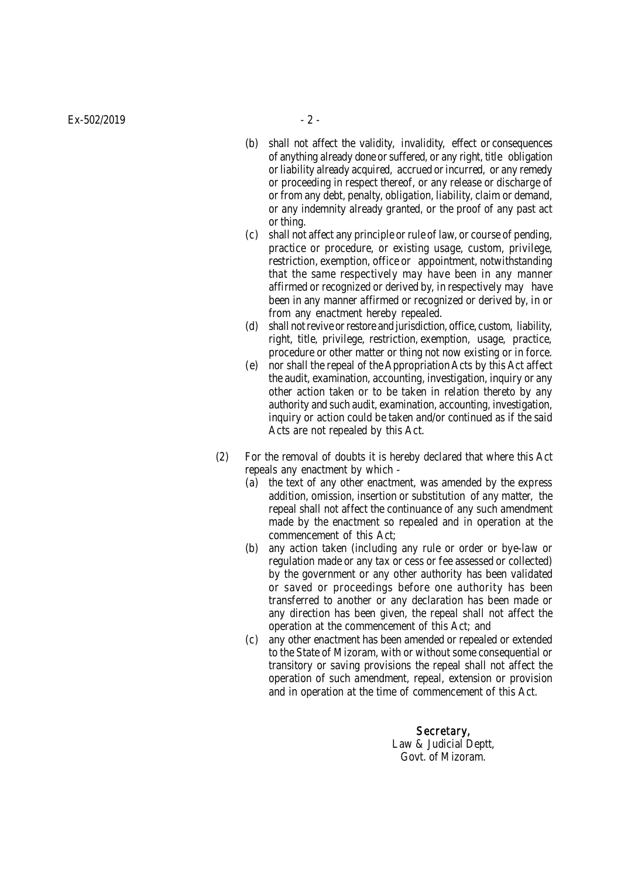- (b) shall not affect the validity, invalidity, effect or consequences of anything already done or suffered, or any right, title obligation or liability already acquired, accrued or incurred, or any remedy or proceeding in respect thereof, or any release or discharge of or from any debt, penalty, obligation, liability, claim or demand, or any indemnity already granted, or the proof of any past act or thing.
- (c) shall not affect any principle or rule of law, or course of pending, practice or procedure, or existing usage, custom, privilege, restriction, exemption, office or appointment, notwithstanding that the same respectively may have been in any manner affirmed or recognized or derived by, in respectively may have been in any manner affirmed or recognized or derived by, in or from any enactment hereby repealed.
- (d) shall not revive or restore and jurisdiction, office, custom, liability, right, title, privilege, restriction, exemption, usage, practice, procedure or other matter or thing not now existing or in force.
- (e) nor shall the repeal of the Appropriation Acts by this Act affect the audit, examination, accounting, investigation, inquiry or any other action taken or to be taken in relation thereto by any authority and such audit, examination, accounting, investigation, inquiry or action could be taken and/or continued as if the said Acts are not repealed by this Act.
- (2) For the removal of doubts it is hereby declared that where this Act repeals any enactment by which -
	- (a) the text of any other enactment, was amended by the express addition, omission, insertion or substitution of any matter, the repeal shall not affect the continuance of any such amendment made by the enactment so repealed and in operation at the commencement of this Act;
	- (b) any action taken (including any rule or order or bye-law or regulation made or any tax or cess or fee assessed or collected) by the government or any other authority has been validated or saved or proceedings before one authority has been transferred to another or any declaration has been made or any direction has been given, the repeal shall not affect the operation at the commencement of this Act; and
	- (c) any other enactment has been amended or repealed or extended to the State of Mizoram, with or without some consequential or transitory or saving provisions the repeal shall not affect the operation of such amendment, repeal, extension or provision and in operation at the time of commencement of this Act.

Secretary, Law & Judicial Deptt, Govt. of Mizoram.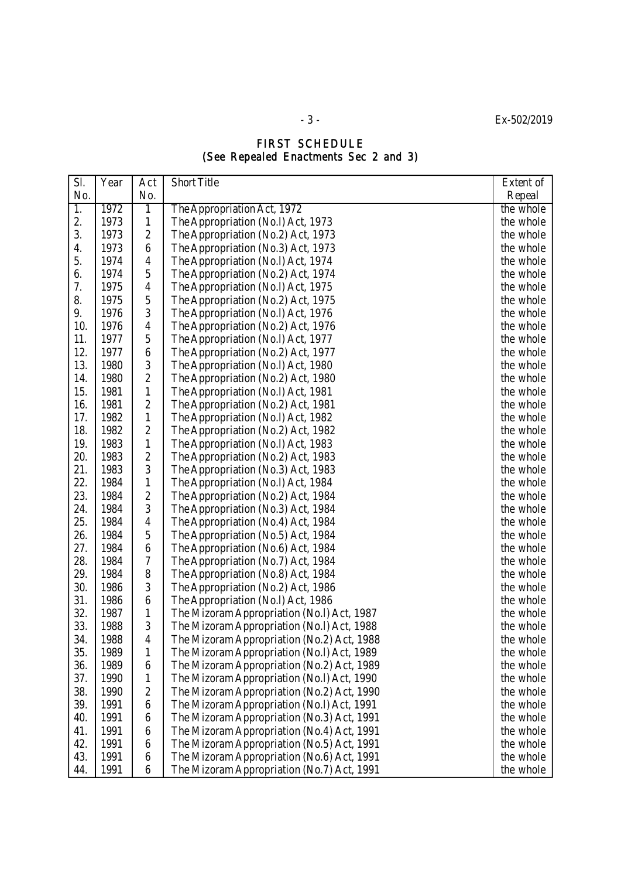- 3 - Ex-502/2019

## FIRST SCHEDULE (See Repealed Enactments Sec 2 and 3)

| SI. | Year | Act            | <b>Short Title</b>                         | Extent of |
|-----|------|----------------|--------------------------------------------|-----------|
| No. |      | No.            |                                            | Repeal    |
| 1.  | 1972 | 1              | The Appropriation Act, 1972                | the whole |
| 2.  | 1973 | 1              | The Appropriation (No.I) Act, 1973         | the whole |
| 3.  | 1973 | $\overline{2}$ | The Appropriation (No.2) Act, 1973         | the whole |
| 4.  | 1973 | 6              | The Appropriation (No.3) Act, 1973         | the whole |
| 5.  | 1974 | 4              | The Appropriation (No.I) Act, 1974         | the whole |
| 6.  | 1974 | 5              | The Appropriation (No.2) Act, 1974         | the whole |
| 7.  | 1975 | 4              | The Appropriation (No.I) Act, 1975         | the whole |
| 8.  | 1975 | 5              | The Appropriation (No.2) Act, 1975         | the whole |
| 9.  | 1976 | 3              | The Appropriation (No.I) Act, 1976         | the whole |
| 10. | 1976 | 4              | The Appropriation (No.2) Act, 1976         | the whole |
| 11. | 1977 | 5              | The Appropriation (No.I) Act, 1977         | the whole |
| 12. | 1977 | 6              | The Appropriation (No.2) Act, 1977         | the whole |
| 13. | 1980 | 3              | The Appropriation (No.I) Act, 1980         | the whole |
| 14. | 1980 | 2              | The Appropriation (No.2) Act, 1980         | the whole |
| 15. | 1981 | 1              | The Appropriation (No.I) Act, 1981         | the whole |
| 16. | 1981 | $\overline{2}$ | The Appropriation (No.2) Act, 1981         | the whole |
| 17. | 1982 | 1              | The Appropriation (No.I) Act, 1982         | the whole |
| 18. | 1982 | $\overline{2}$ | The Appropriation (No.2) Act, 1982         | the whole |
| 19. | 1983 | 1              | The Appropriation (No.I) Act, 1983         | the whole |
| 20. | 1983 | $\overline{2}$ | The Appropriation (No.2) Act, 1983         | the whole |
| 21. | 1983 | 3              | The Appropriation (No.3) Act, 1983         | the whole |
| 22. | 1984 | 1              | The Appropriation (No.I) Act, 1984         | the whole |
| 23. | 1984 | $\overline{2}$ | The Appropriation (No.2) Act, 1984         | the whole |
| 24. | 1984 | 3              | The Appropriation (No.3) Act, 1984         | the whole |
| 25. | 1984 | 4              | The Appropriation (No.4) Act, 1984         | the whole |
| 26. | 1984 | 5              | The Appropriation (No.5) Act, 1984         | the whole |
| 27. | 1984 | 6              | The Appropriation (No.6) Act, 1984         | the whole |
| 28. | 1984 | 7              | The Appropriation (No.7) Act, 1984         | the whole |
| 29. | 1984 | 8              | The Appropriation (No.8) Act, 1984         | the whole |
| 30. | 1986 | 3              | The Appropriation (No.2) Act, 1986         | the whole |
| 31. | 1986 | 6              | The Appropriation (No.I) Act, 1986         | the whole |
| 32. | 1987 | 1              | The Mizoram Appropriation (No.I) Act, 1987 | the whole |
| 33. | 1988 | 3              | The Mizoram Appropriation (No.I) Act, 1988 | the whole |
| 34  | 1988 | 4              | The Mizoram Appropriation (No.2) Act, 1988 | the whole |
| 35. | 1989 | 1              | The Mizoram Appropriation (No.I) Act, 1989 | the whole |
| 36. | 1989 | 6              | The Mizoram Appropriation (No.2) Act, 1989 | the whole |
| 37. | 1990 | 1              | The Mizoram Appropriation (No.I) Act, 1990 | the whole |
| 38. | 1990 | $\overline{2}$ | The Mizoram Appropriation (No.2) Act, 1990 | the whole |
| 39. | 1991 | 6              | The Mizoram Appropriation (No.I) Act, 1991 | the whole |
| 40. | 1991 | 6              | The Mizoram Appropriation (No.3) Act, 1991 | the whole |
| 41. | 1991 | 6              | The Mizoram Appropriation (No.4) Act, 1991 | the whole |
| 42. | 1991 | 6              | The Mizoram Appropriation (No.5) Act, 1991 | the whole |
| 43. | 1991 | 6              | The Mizoram Appropriation (No.6) Act, 1991 | the whole |
| 44. | 1991 | 6              | The Mizoram Appropriation (No.7) Act, 1991 | the whole |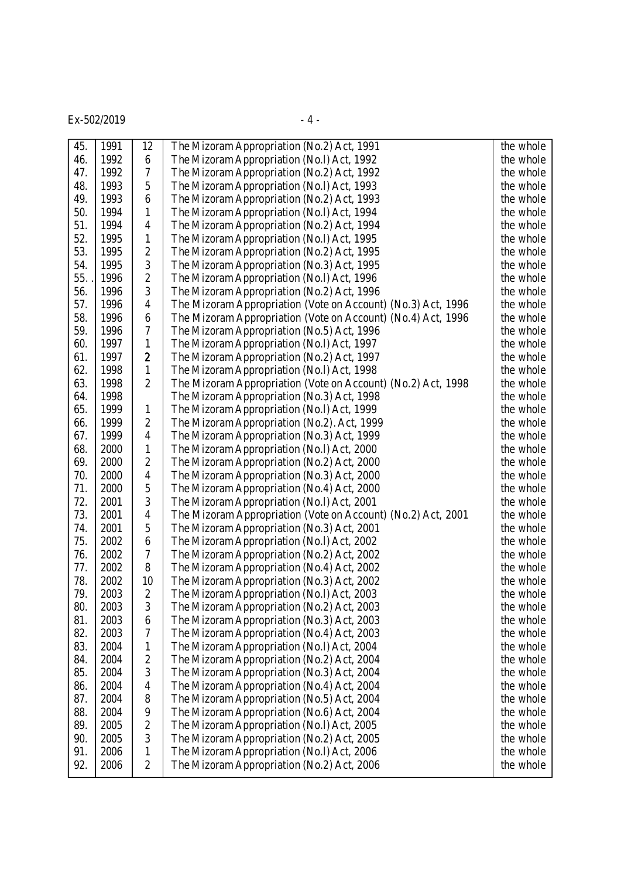$Ex-502/2019$  - 4 -

| 45. | 1991 | 12             | The Mizoram Appropriation (No.2) Act, 1991                   | the whole |
|-----|------|----------------|--------------------------------------------------------------|-----------|
| 46. | 1992 | 6              | The Mizoram Appropriation (No.I) Act, 1992                   | the whole |
| 47. | 1992 | 7              | The Mizoram Appropriation (No.2) Act, 1992                   | the whole |
| 48. | 1993 | 5              | The Mizoram Appropriation (No.I) Act, 1993                   | the whole |
| 49. | 1993 | 6              | The Mizoram Appropriation (No.2) Act, 1993                   | the whole |
| 50. | 1994 | 1              | The Mizoram Appropriation (No.I) Act, 1994                   | the whole |
| 51. | 1994 | $\overline{4}$ | The Mizoram Appropriation (No.2) Act, 1994                   | the whole |
| 52. | 1995 | 1              | The Mizoram Appropriation (No.I) Act, 1995                   | the whole |
| 53. | 1995 | $\overline{c}$ | The Mizoram Appropriation (No.2) Act, 1995                   | the whole |
| 54. | 1995 | 3              | The Mizoram Appropriation (No.3) Act, 1995                   | the whole |
| 55. | 1996 | $\overline{2}$ | The Mizoram Appropriation (No.I) Act, 1996                   | the whole |
| 56. | 1996 | 3              | The Mizoram Appropriation (No.2) Act, 1996                   | the whole |
| 57. | 1996 | 4              | The Mizoram Appropriation (Vote on Account) (No.3) Act, 1996 | the whole |
| 58. | 1996 | 6              | The Mizoram Appropriation (Vote on Account) (No.4) Act, 1996 | the whole |
| 59. | 1996 | 7              | The Mizoram Appropriation (No.5) Act, 1996                   | the whole |
| 60. | 1997 | 1              | The Mizoram Appropriation (No.I) Act, 1997                   | the whole |
| 61. | 1997 | $\overline{2}$ | The Mizoram Appropriation (No.2) Act, 1997                   | the whole |
| 62. | 1998 | 1              | The Mizoram Appropriation (No.I) Act, 1998                   | the whole |
| 63. | 1998 | $\overline{2}$ | The Mizoram Appropriation (Vote on Account) (No.2) Act, 1998 | the whole |
| 64. | 1998 |                | The Mizoram Appropriation (No.3) Act, 1998                   | the whole |
| 65. | 1999 | 1              | The Mizoram Appropriation (No.I) Act, 1999                   | the whole |
| 66. | 1999 | $\overline{2}$ | The Mizoram Appropriation (No.2). Act, 1999                  | the whole |
| 67. | 1999 | $\overline{4}$ | The Mizoram Appropriation (No.3) Act, 1999                   | the whole |
| 68. | 2000 | 1              | The Mizoram Appropriation (No.I) Act, 2000                   | the whole |
| 69. | 2000 | $\overline{2}$ | The Mizoram Appropriation (No.2) Act, 2000                   | the whole |
| 70. | 2000 | $\overline{4}$ | The Mizoram Appropriation (No.3) Act, 2000                   | the whole |
| 71. | 2000 | 5              | The Mizoram Appropriation (No.4) Act, 2000                   | the whole |
| 72. | 2001 | 3              | The Mizoram Appropriation (No.I) Act, 2001                   | the whole |
| 73. | 2001 | 4              | The Mizoram Appropriation (Vote on Account) (No.2) Act, 2001 | the whole |
| 74. | 2001 | 5              | The Mizoram Appropriation (No.3) Act, 2001                   | the whole |
| 75. | 2002 | 6              | The Mizoram Appropriation (No.I) Act, 2002                   | the whole |
| 76. | 2002 | 7              | The Mizoram Appropriation (No.2) Act, 2002                   | the whole |
| 77. | 2002 | 8              | The Mizoram Appropriation (No.4) Act, 2002                   | the whole |
| 78. | 2002 | 10             | The Mizoram Appropriation (No.3) Act, 2002                   | the whole |
| 79. | 2003 | $\overline{2}$ | The Mizoram Appropriation (No.I) Act, 2003                   | the whole |
| 80. | 2003 | 3              | The Mizoram Appropriation (No.2) Act, 2003                   | the whole |
| 81. | 2003 | 6              | The Mizoram Appropriation (No.3) Act, 2003                   | the whole |
| 82. | 2003 | $\overline{7}$ | The Mizoram Appropriation (No.4) Act, 2003                   | the whole |
| 83. | 2004 | 1              | The Mizoram Appropriation (No.I) Act, 2004                   | the whole |
| 84. | 2004 | $\overline{2}$ | The Mizoram Appropriation (No.2) Act, 2004                   | the whole |
| 85. | 2004 | 3              | The Mizoram Appropriation (No.3) Act, 2004                   | the whole |
| 86. | 2004 | 4              | The Mizoram Appropriation (No.4) Act, 2004                   | the whole |
| 87. | 2004 | 8              | The Mizoram Appropriation (No.5) Act, 2004                   | the whole |
| 88. | 2004 | 9              | The Mizoram Appropriation (No.6) Act, 2004                   | the whole |
| 89. | 2005 | $\overline{2}$ | The Mizoram Appropriation (No.I) Act, 2005                   | the whole |
| 90. | 2005 | 3              | The Mizoram Appropriation (No.2) Act, 2005                   | the whole |
| 91. | 2006 | 1              | The Mizoram Appropriation (No.I) Act, 2006                   | the whole |
| 92. | 2006 | $\overline{2}$ | The Mizoram Appropriation (No.2) Act, 2006                   | the whole |
|     |      |                |                                                              |           |